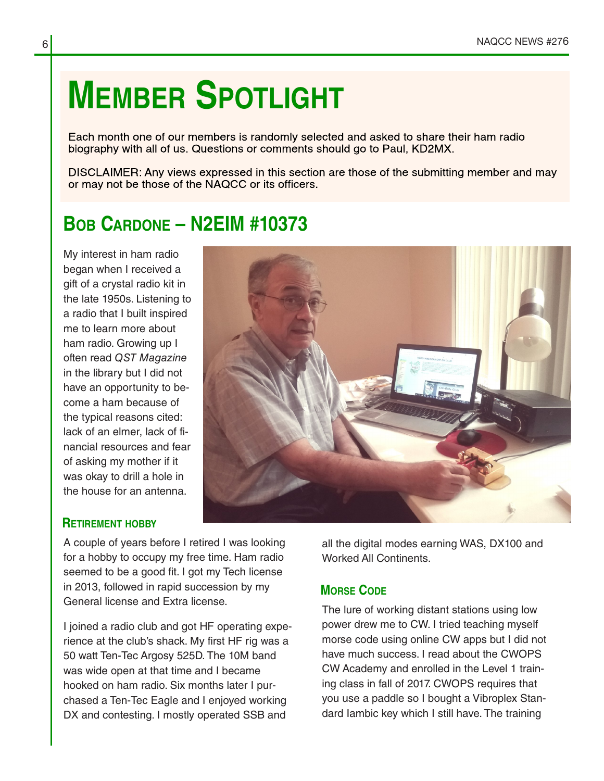# **MEMBER SPOTLIGHT**

Each month one of our members is randomly selected and asked to share their ham radio biography with all of us. Questions or comments should go to Paul, KD2MX.

DISCLAIMER: Any views expressed in this section are those of the submitting member and may or may not be those of the NAQCC or its officers.

# **BOB CARDONE – N2EIM #10373**

My interest in ham radio began when I received a gift of a crystal radio kit in the late 1950s. Listening to a radio that I built inspired me to learn more about ham radio. Growing up I often read QST Magazine in the library but I did not have an opportunity to be‐ come a ham because of the typical reasons cited: lack of an elmer, lack of fi‐ nancial resources and fear of asking my mother if it was okay to drill a hole in the house for an antenna.



## **RETIREMENT HOBBY**

A couple of years before I retired I was looking for a hobby to occupy my free time. Ham radio seemed to be a good fit. I got my Tech license in 2013, followed in rapid succession by my General license and Extra license.

I joined a radio club and got HF operating expe‐ rience at the club's shack. My first HF rig was a 50 watt Ten-Tec Argosy 525D. The 10M band was wide open at that time and I became hooked on ham radio. Six months later I pur‐ chased a Ten-Tec Eagle and I enjoyed working DX and contesting. I mostly operated SSB and

all the digital modes earning WAS, DX100 and Worked All Continents.

# **MORSE CODE**

The lure of working distant stations using low power drew me to CW. I tried teaching myself morse code using online CW apps but I did not have much success. I read about the CWOPS CW Academy and enrolled in the Level 1 train‐ ing class in fall of 2017. CWOPS requires that you use a paddle so I bought a Vibroplex Stan‐ dard Iambic key which I still have. The training